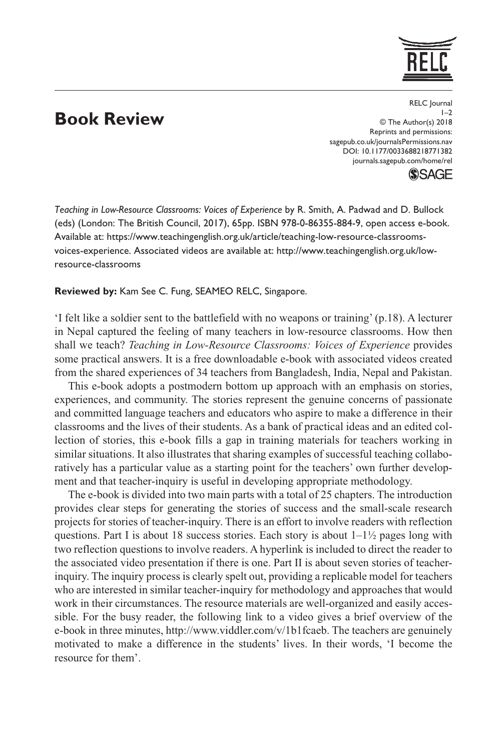## **Book Review**

https://doi.org/10.1177/0033688218771382 DOI: 10.1177/0033688218771382 RELC Journal  $1-2$ © The Author(s) 2018 Reprints and permissions: [sagepub.co.uk/journalsPermissions.nav](https://uk.sagepub.com/en-gb/journals-permissions) [journals.sagepub.com/home/rel](https://journals.sagepub.com/home/rel)

**SSAGE** 

*Teaching in Low-Resource Classrooms: Voices of Experience* by R. Smith, A. Padwad and D. Bullock (eds) (London: The British Council, 2017), 65pp. ISBN 978-0-86355-884-9, open access e-book. Available at: [https://www.teachingenglish.org.uk/article/teaching-low-resource-classrooms](https://www.teachingenglish.org.uk/article/teaching-low-resource-classrooms-voices-experience)[voices-experience.](https://www.teachingenglish.org.uk/article/teaching-low-resource-classrooms-voices-experience) Associated videos are available at: [http://www.teachingenglish.org.uk/low](http://www.teachingenglish.org.uk/low-resource-classrooms)[resource-classrooms](http://www.teachingenglish.org.uk/low-resource-classrooms)

**Reviewed by:** Kam See C. Fung, SEAMEO RELC, Singapore.

'I felt like a soldier sent to the battlefield with no weapons or training' (p.18). A lecturer in Nepal captured the feeling of many teachers in low-resource classrooms. How then shall we teach? *Teaching in Low-Resource Classrooms: Voices of Experience* provides some practical answers. It is a free downloadable e-book with associated videos created from the shared experiences of 34 teachers from Bangladesh, India, Nepal and Pakistan.

This e-book adopts a postmodern bottom up approach with an emphasis on stories, experiences, and community. The stories represent the genuine concerns of passionate and committed language teachers and educators who aspire to make a difference in their classrooms and the lives of their students. As a bank of practical ideas and an edited collection of stories, this e-book fills a gap in training materials for teachers working in similar situations. It also illustrates that sharing examples of successful teaching collaboratively has a particular value as a starting point for the teachers' own further development and that teacher-inquiry is useful in developing appropriate methodology.

The e-book is divided into two main parts with a total of 25 chapters. The introduction provides clear steps for generating the stories of success and the small-scale research projects for stories of teacher-inquiry. There is an effort to involve readers with reflection questions. Part I is about 18 success stories. Each story is about  $1-\frac{1}{2}$  pages long with two reflection questions to involve readers. A hyperlink is included to direct the reader to the associated video presentation if there is one. Part II is about seven stories of teacherinquiry. The inquiry process is clearly spelt out, providing a replicable model for teachers who are interested in similar teacher-inquiry for methodology and approaches that would work in their circumstances. The resource materials are well-organized and easily accessible. For the busy reader, the following link to a video gives a brief overview of the e-book in three minutes, [http://www.viddler.com/v/1b1fcaeb.](http://www.viddler.com/v/1b1fcaeb) The teachers are genuinely motivated to make a difference in the students' lives. In their words, 'I become the resource for them'.